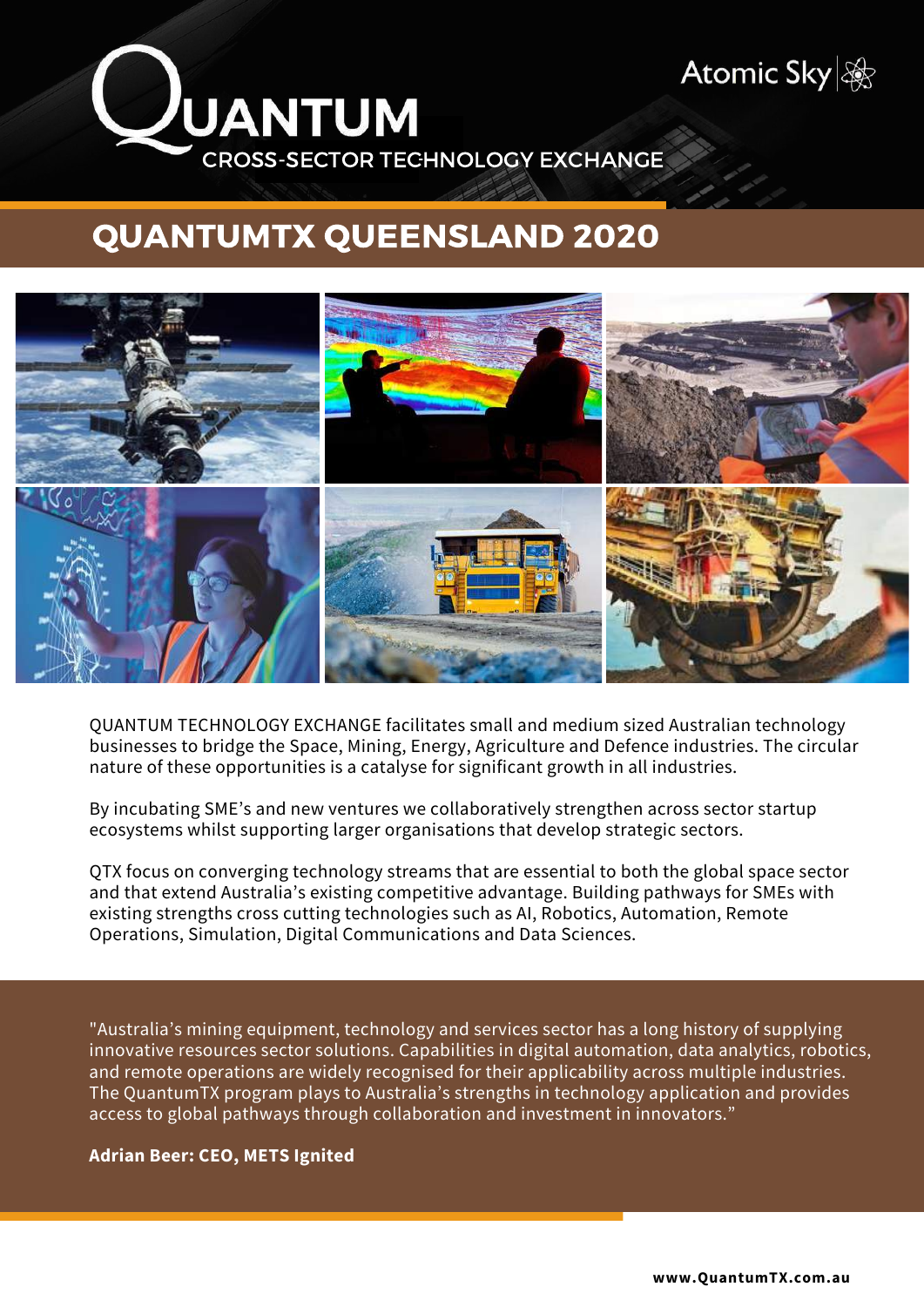

# QUANTUMTX QUEENSLAND 2020



QUANTUM TECHNOLOGY EXCHANGE facilitates small and medium sized Australian technology businesses to bridge the Space, Mining, Energy, Agriculture and Defence industries. The circular nature of these opportunities is a catalyse for significant growth in all industries.

By incubating SME's and new ventures we collaboratively strengthen across sector startup ecosystems whilst supporting larger organisations that develop strategic sectors.

QTX focus on converging technology streams that are essential to both the global space sector and that extend Australia's existing competitive advantage. Building pathways for SMEs with existing strengths cross cutting technologies such as AI, Robotics, Automation, Remote Operations, Simulation, Digital Communications and Data Sciences.

"Australia's mining equipment, technology and services sector has a long history of supplying innovative resources sector solutions. Capabilities in digital automation, data analytics, robotics, and remote operations are widely recognised for their applicability across multiple industries. The QuantumTX program plays to Australia's strengths in technology application and provides access to global pathways through collaboration and investment in innovators."

**Adrian Beer: CEO, METS Ignited**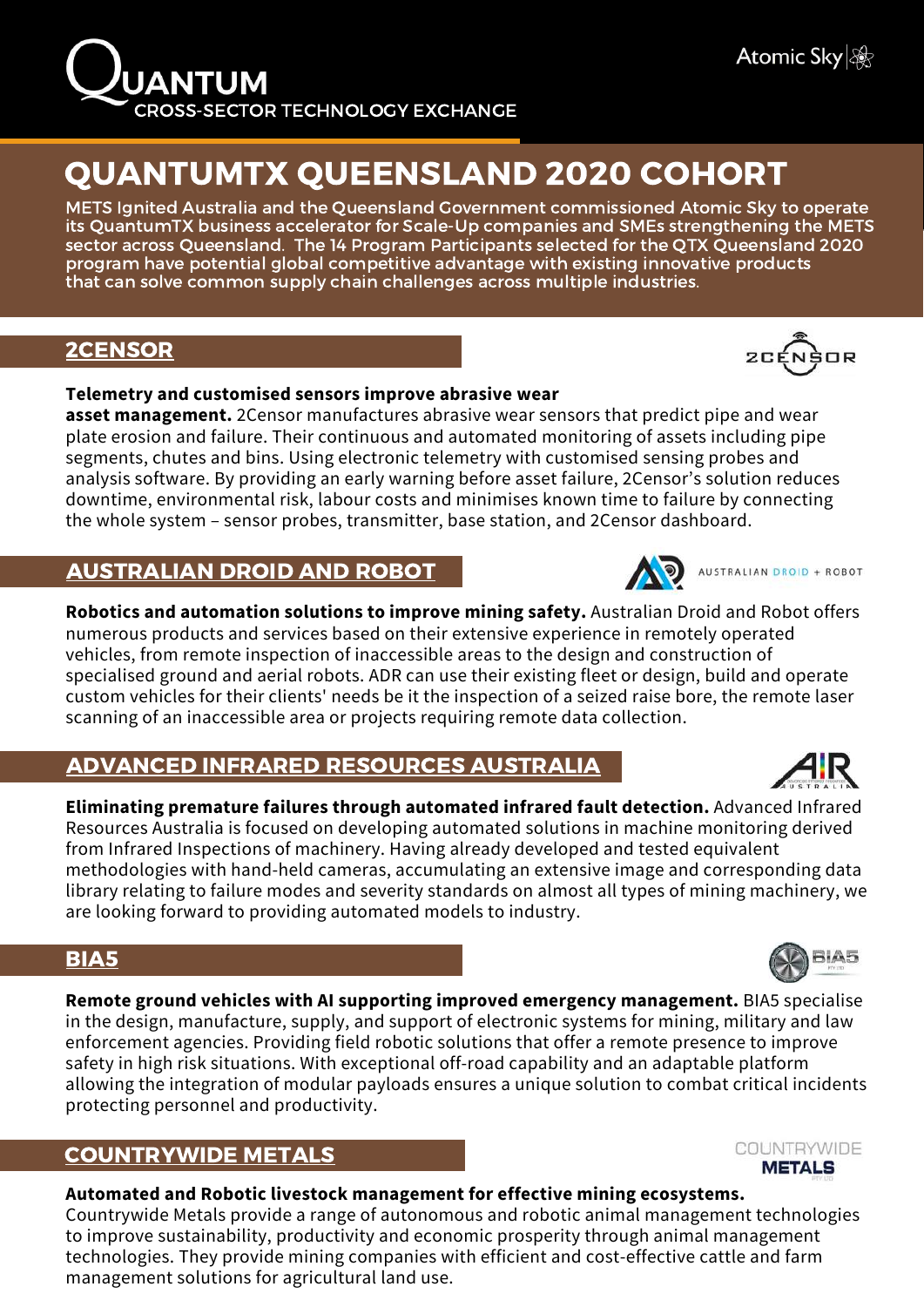

# QUANTUMTX QUEENSLAND 2020 COHORT

METS Ignited Australia and the Queensland Government commissioned Atomic Sky to operate its QuantumTX business accelerator for Scale-Up companies and SMEs strengthening the METS sector across Queensland. The 14 Program Participants selected for the QTX Queensland 2020 program have potential global competitive advantage with existing innovative products that can solve common supply chain challenges across multiple industries.

# [2CENSOR](https://2censor.com/)

#### **Telemetry and customised sensors improve abrasive wear**

**asset management.** 2Censor manufactures abrasive wear sensors that predict pipe and wear plate erosion and failure. Their continuous and automated monitoring of assets including pipe segments, chutes and bins. Using electronic telemetry with customised sensing probes and analysis software. By providing an early warning before asset failure, 2Censor's solution reduces downtime, environmental risk, labour costs and minimises known time to failure by connecting the whole system – sensor probes, transmitter, base station, and 2Censor dashboard.

# [AUSTRALIAN](https://www.australiandroid.com.au/) DROID AND ROBOT

**Robotics and automation solutions to improve mining safety.** Australian Droid and Robot offers numerous products and services based on their extensive experience in remotely operated vehicles, from remote inspection of inaccessible areas to the design and construction of specialised ground and aerial robots. ADR can use their existing fleet or design, build and operate custom vehicles for their clients' needs be it the inspection of a seized raise bore, the remote laser scanning of an inaccessible area or projects requiring remote data collection.

# ADVANCED INFRARED [RESOURCES](https://www.irtau.com/) AUSTRALIA

**Eliminating premature failures through automated infrared fault detection.** Advanced Infrared Resources Australia is focused on developing automated solutions in machine monitoring derived from Infrared Inspections of machinery. Having already developed and tested equivalent methodologies with hand-held cameras, accumulating an extensive image and corresponding data library relating to failure modes and severity standards on almost all types of mining machinery, we are looking forward to providing automated models to industry.

## [BIA5](https://bia5.com/)

**Remote ground vehicles with AI supporting improved emergency management.** BIA5 specialise in the design, manufacture, supply, and support of electronic systems for mining, military and law enforcement agencies. Providing field robotic solutions that offer a remote presence to improve safety in high risk situations. With exceptional off-road capability and an adaptable platform allowing the integration of modular payloads ensures a unique solution to combat critical incidents protecting personnel and productivity.

## [COUNTRYWIDE](https://www.cavalierlivestock.com.au/) METALS

### **Automated and Robotic livestock management for effective mining ecosystem[s.](https://www.cavalierlivestock.com.au/)**

Countrywide Metals provide a range of autonomous and robotic animal management technologies to improve sustainability, productivity and economic prosperity through animal management technologies. They provide mining companies with efficient and cost-effective cattle and farm management solutions for agricultural land use.











COUNTRYWIDE **METALS**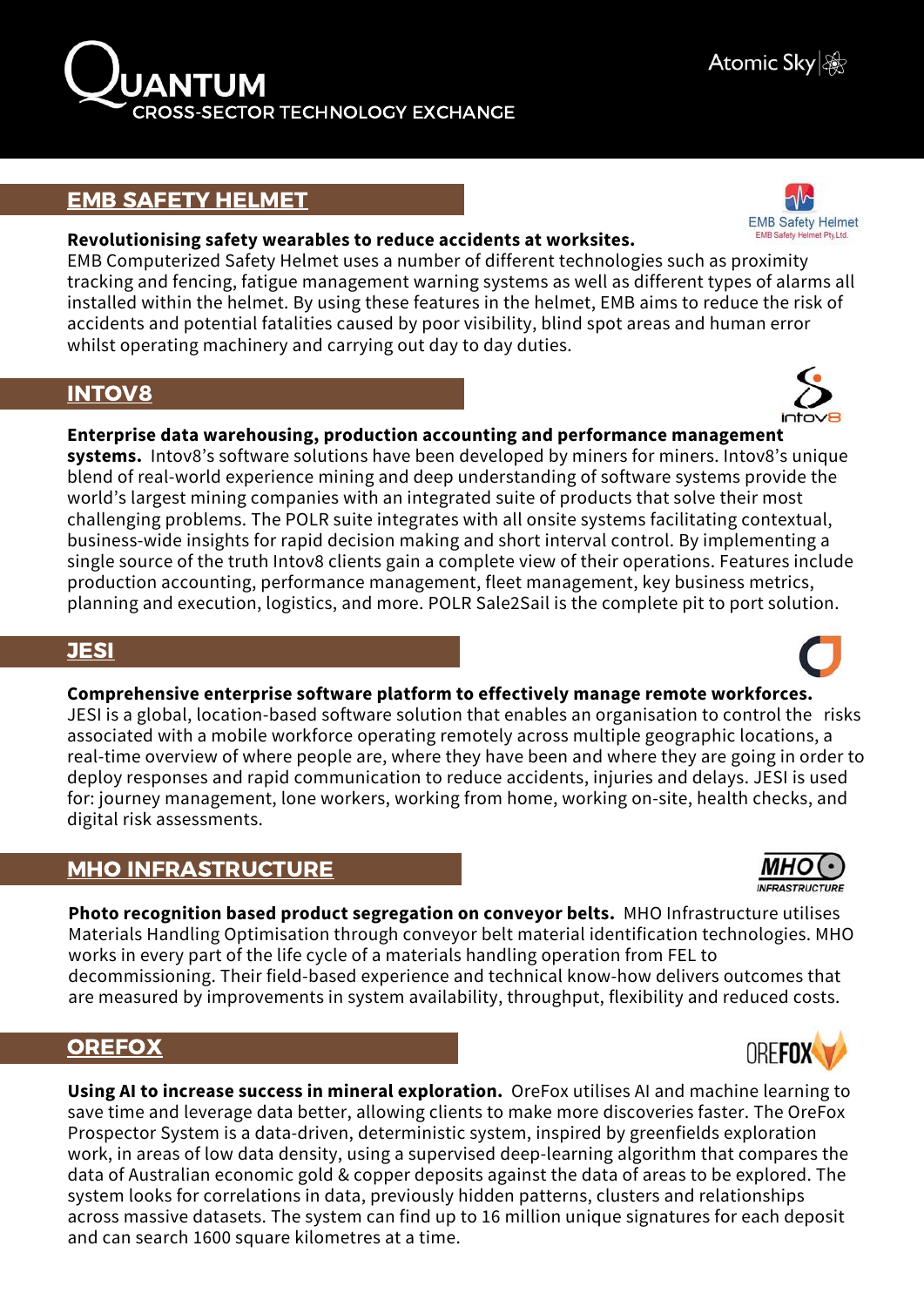## EMB SAFETY [HELMET](https://embsafetyhelmet.com/)

#### **Revolutionising safety wearables to reduce accidents at worksites.**

EMB Computerized Safety Helmet uses a number of different technologies such as proximity tracking and fencing, fatigue management warning systems as well as different types of alarms all installed within the helmet. By using these features in the helmet, EMB aims to reduce the risk of accidents and potential fatalities caused by poor visibility, blind spot areas and human error whilst operating machinery and carrying out day to day duties.

## [INTOV8](https://www.intov8.com.au/)

#### **Enterprise data warehousing, production accounting and performance management**

**systems.** Intov8's software solutions have been developed by miners for miners. Intov8's unique blend of real-world experience mining and deep understanding of software systems provide the world's largest mining companies with an integrated suite of products that solve their most challenging problems. The POLR suite integrates with all onsite systems facilitating contextual, business-wide insights for rapid decision making and short interval control. By implementing a single source of the truth Intov8 clients gain a complete view of their operations. Features include production accounting, performance management, fleet management, key business metrics, planning and execution, logistics, and more. POLR Sale2Sail is the complete pit to port solution.

## [JESI](https://jesi.io/)

### **Comprehensive enterprise software platform to effectively manage remote workforces.**

JESI is a global, location-based software solution that enables an organisation to control the risks associated with a mobile workforce operating remotely across multiple geographic locations, a real-time overview of where people are, where they have been and where they are going in order to deploy responses and rapid communication to reduce accidents, injuries and delays. JESI is used for: journey management, lone workers, working from home, working on-site, health checks, and digital risk assessments.

# MHO [INFRASTRUCTURE](https://www.mho.com.au/)

**Photo recognition based product segregation on conveyor belts.** MHO Infrastructure utilises Materials Handling Optimisation through conveyor belt material identification technologies. MHO works in every part of the life cycle of a materials handling operation from FEL to decommissioning. Their field-based experience and technical know-how delivers outcomes that are measured by improvements in system availability, throughput, flexibility and reduced costs.

## **[OREFOX](https://orefox.com/)**

**Using AI to increase success in mineral exploration.** OreFox utilises AI and machine learning to save time and leverage data better, allowing clients to make more discoveries faster. The OreFox Prospector System is a data-driven, deterministic system, inspired by greenfields exploration work, in areas of low data density, using a supervised deep-learning algorithm that compares the data of Australian economic gold & copper deposits against the data of areas to be explored. The system looks for correlations in data, previously hidden patterns, clusters and relationships across massive datasets. The system can find up to 16 million unique signatures for each deposit and can search 1600 square kilometres at a time.









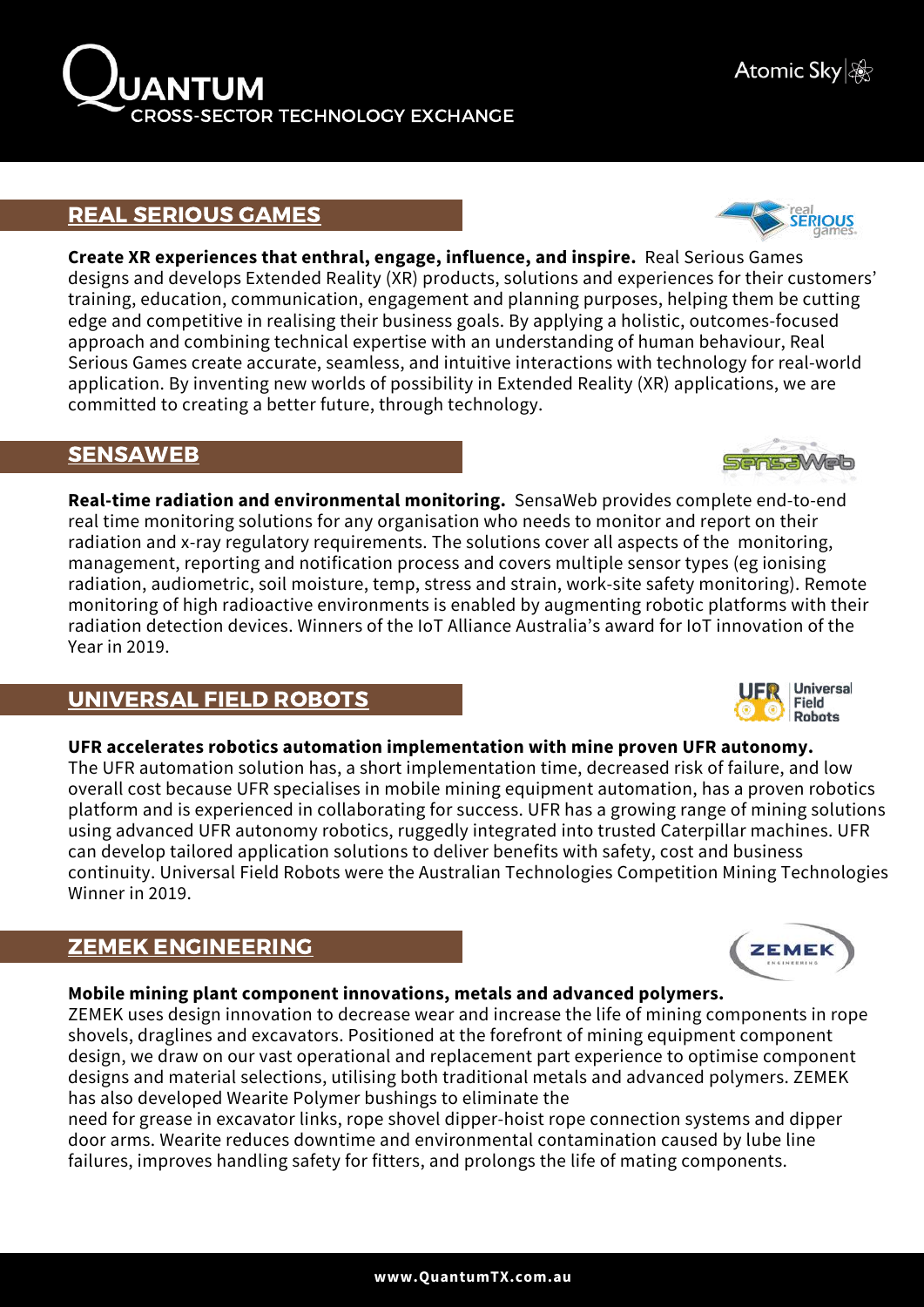

# REAL [SERIOUS](https://www.realseriousgames.com/) GAMES

**Create XR experiences that enthral, engage, influence, and inspire.** Real Serious Games designs and develops Extended Reality (XR) products, solutions and experiences for their customers' training, education, communication, engagement and planning purposes, helping them be cutting edge and competitive in realising their business goals. By applying a holistic, outcomes-focused approach and combining technical expertise with an understanding of human behaviour, Real Serious Games create accurate, seamless, and intuitive interactions with technology for real-world application. By inventing new worlds of possibility in Extended Reality (XR) applications, we are committed to creating a better future, through technology.

## [SENSAWEB](http://www.sensaweb.com.au/)

**Real-time radiation and environmental monitoring.** SensaWeb provides complete end-to-end real time monitoring solutions for any organisation who needs to monitor and report on their radiation and x-ray regulatory requirements. The solutions cover all aspects of the monitoring, management, reporting and notification process and covers multiple sensor types (eg ionising radiation, audiometric, soil moisture, temp, stress and strain, work-site safety monitoring). Remote monitoring of high radioactive environments is enabled by augmenting robotic platforms with their radiation detection devices. Winners of the IoT Alliance Australia's award for IoT innovation of the Year in 2019.

# [UNIVERSAL](https://universalfieldrobots.com.au/) FIELD ROBOTS

#### **UFR accelerates robotics automation implementation with mine proven UFR autonomy.**

The UFR automation solution has, a short implementation time, decreased risk of failure, and low overall cost because UFR specialises in mobile mining equipment automation, has a proven robotics platform and is experienced in collaborating for success. UFR has a growing range of mining solutions using advanced UFR autonomy robotics, ruggedly integrated into trusted Caterpillar machines. UFR can develop tailored application solutions to deliver benefits with safety, cost and business continuity. Universal Field Robots were the Australian Technologies Competition Mining Technologies Winner in 2019.

# ZEMEK [ENGINEERING](https://www.zemek.com.au/)

#### **Mobile mining plant component innovations, metals and advanced polymers.**

ZEMEK uses design innovation to decrease wear and increase the life of mining components in rope shovels, draglines and excavators. Positioned at the forefront of mining equipment component design, we draw on our vast operational and replacement part experience to optimise component designs and material selections, utilising both traditional metals and advanced polymers. ZEMEK has also developed Wearite Polymer bushings to eliminate the

need for grease in excavator links, rope shovel dipper-hoist rope connection systems and dipper door arms. Wearite reduces downtime and environmental contamination caused by lube line failures, improves handling safety for fitters, and prolongs the life of mating components.





**ZEMEI** 



 $\sim$ 

real<br>**SERIOUS** 



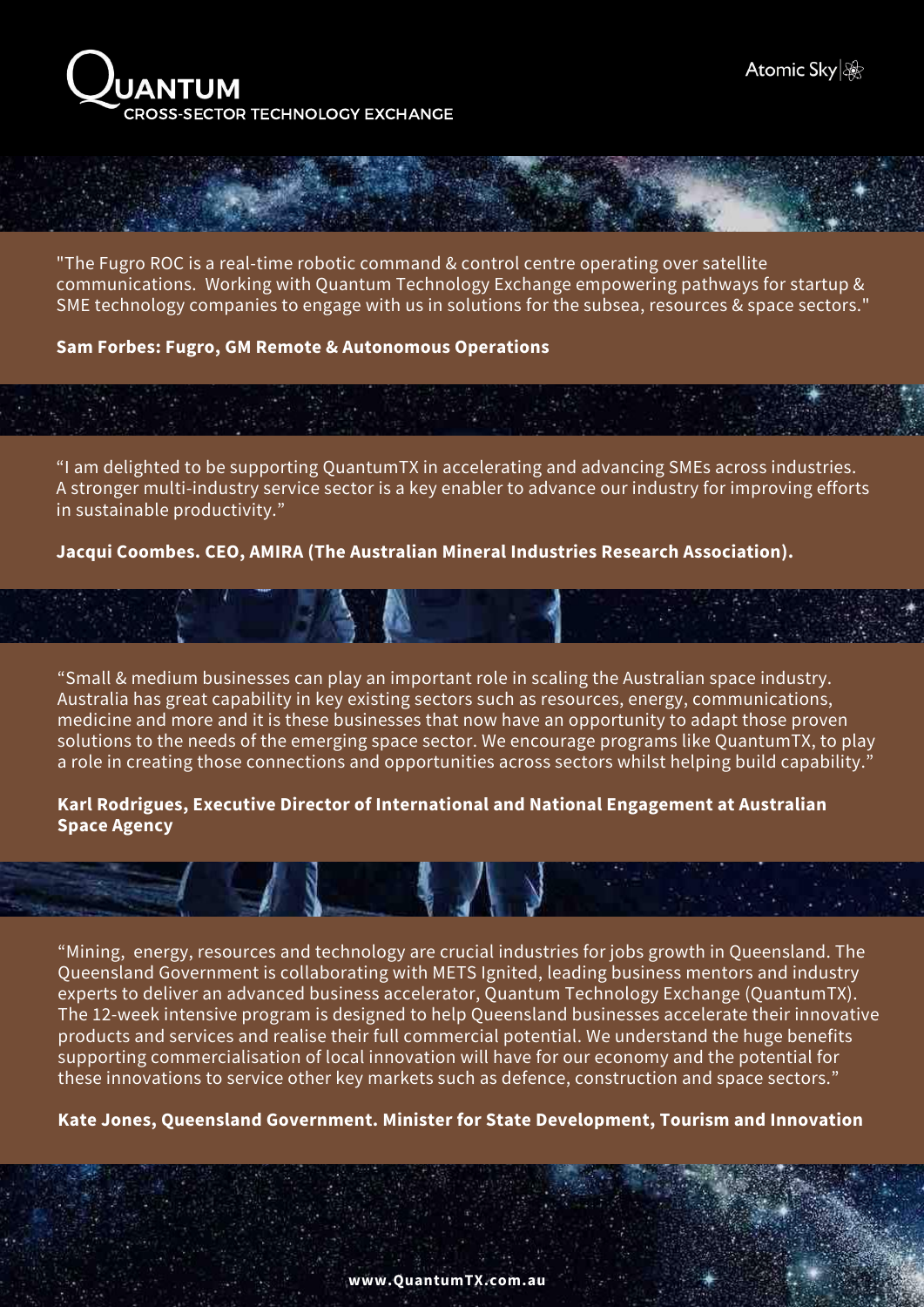

"The Fugro ROC is a real-time robotic command & control centre operating over satellite communications. Working with Quantum Technology Exchange empowering pathways for startup & SME technology companies to engage with us in solutions for the subsea, resources & space sectors."

#### **Sam Forbes: Fugro, GM Remote & Autonomous Operations**

"I am delighted to be supporting QuantumTX in accelerating and advancing SMEs across industries. A stronger multi-industry service sector is a key enabler to advance our industry for improving efforts in sustainable productivity."

**Jacqui Coombes. CEO, AMIRA (The Australian Mineral Industries Research Association).**

"Small & medium businesses can play an important role in scaling the Australian space industry. Australia has great capability in key existing sectors such as resources, energy, communications, medicine and more and it is these businesses that now have an opportunity to adapt those proven solutions to the needs of the emerging space sector. We encourage programs like QuantumTX, to play a role in creating those connections and opportunities across sectors whilst helping build capability."

**Karl Rodrigues, Executive Director of International and National Engagement at Australian Space Agency**

 $\mathbf{N}$ 

"Mining, energy, resources and technology are crucial industries for jobs growth in Queensland. The Queensland Government is collaborating with METS Ignited, leading business mentors and industry experts to deliver an advanced business accelerator, Quantum Technology Exchange (QuantumTX). The 12-week intensive program is designed to help Queensland businesses accelerate their innovative products and services and realise their full commercial potential. We understand the huge benefits supporting commercialisation of local innovation will have for our economy and the potential for these innovations to service other key markets such as defence, construction and space sectors."

**Kate Jones, Queensland Government. Minister for State Development, Tourism and Innovation**